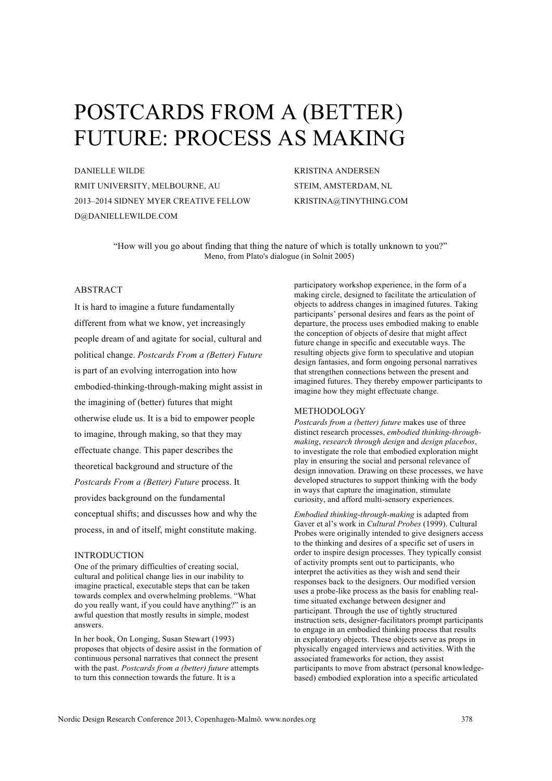# POSTCARDS FROM A (BETTER) FUTURE: PROCESS AS MAKING

DANIELLE WILDE RMIT UNIVERSITY, MELBOURNE, AU 2013–2014 SIDNEY MYER CREATIVE FELLOW D@DANIELLEWILDE.COM

KRISTINA ANDERSEN STEIM, AMSTERDAM, NL KRISTINA@TINYTHING.COM

"How will you go about finding that thing the nature of which is totally unknown to you?" Meno, from Plato's dialogue (in Solnit 2005)

## ABSTRACT

It is hard to imagine a future fundamentally different from what we know, yet increasingly people dream of and agitate for social, cultural and political change. *Postcards From a (Better) Future* is part of an evolving interrogation into how embodied-thinking-through-making might assist in the imagining of (better) futures that might otherwise elude us. It is a bid to empower people to imagine, through making, so that they may effectuate change. This paper describes the theoretical background and structure of the *Postcards From a (Better) Future* process. It provides background on the fundamental conceptual shifts; and discusses how and why the process, in and of itself, might constitute making.

#### INTRODUCTION

One of the primary difficulties of creating social, cultural and political change lies in our inability to imagine practical, executable steps that can be taken towards complex and overwhelming problems. "What do you really want, if you could have anything?" is an awful question that mostly results in simple, modest answers.

In her book, On Longing, Susan Stewart (1993) proposes that objects of desire assist in the formation of continuous personal narratives that connect the present with the past. *Postcards from a (better) future* attempts to turn this connection towards the future. It is a

participatory workshop experience, in the form of a making circle, designed to facilitate the articulation of objects to address changes in imagined futures. Taking participants' personal desires and fears as the point of departure, the process uses embodied making to enable the conception of objects of desire that might affect future change in specific and executable ways. The resulting objects give form to speculative and utopian design fantasies, and form ongoing personal narratives that strengthen connections between the present and imagined futures. They thereby empower participants to imagine how they might effectuate change.

#### METHODOLOGY

*Postcards from a (better) future* makes use of three distinct research processes, *embodied thinking-throughmaking*, *research through design* and *design placebos*, to investigate the role that embodied exploration might play in ensuring the social and personal relevance of design innovation. Drawing on these processes, we have developed structures to support thinking with the body in ways that capture the imagination, stimulate curiosity, and afford multi-sensory experiences.

*Embodied thinking-through-making* is adapted from Gaver et al's work in *Cultural Probes* (1999). Cultural Probes were originally intended to give designers access to the thinking and desires of a specific set of users in order to inspire design processes. They typically consist of activity prompts sent out to participants, who interpret the activities as they wish and send their responses back to the designers. Our modified version uses a probe-like process as the basis for enabling realtime situated exchange between designer and participant. Through the use of tightly structured instruction sets, designer-facilitators prompt participants to engage in an embodied thinking process that results in exploratory objects. These objects serve as props in physically engaged interviews and activities. With the associated frameworks for action, they assist participants to move from abstract (personal knowledgebased) embodied exploration into a specific articulated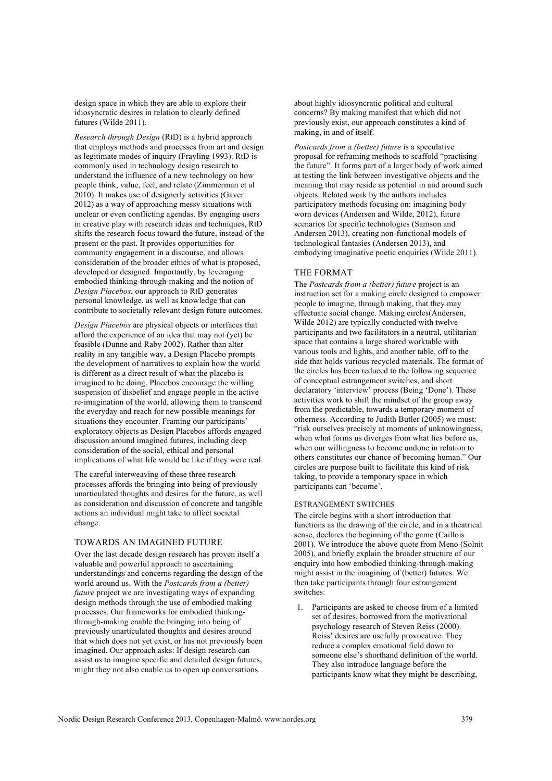design space in which they are able to explore their idiosyncratic desires in relation to clearly defined futures (Wilde 2011).

*Research through Design* (RtD) is a hybrid approach that employs methods and processes from art and design as legitimate modes of inquiry (Frayling 1993). RtD is commonly used in technology design research to understand the influence of a new technology on how people think, value, feel, and relate (Zimmerman et al 2010). It makes use of designerly activities (Gaver 2012) as a way of approaching messy situations with unclear or even conflicting agendas. By engaging users in creative play with research ideas and techniques, RtD shifts the research focus toward the future, instead of the present or the past. It provides opportunities for community engagement in a discourse, and allows consideration of the broader ethics of what is proposed, developed or designed. Importantly, by leveraging embodied thinking-through-making and the notion of *Design Placebos*, our approach to RtD generates personal knowledge, as well as knowledge that can contribute to societally relevant design future outcomes.

*Design Placebos* are physical objects or interfaces that afford the experience of an idea that may not (yet) be feasible (Dunne and Raby 2002). Rather than alter reality in any tangible way, a Design Placebo prompts the development of narratives to explain how the world is different as a direct result of what the placebo is imagined to be doing. Placebos encourage the willing suspension of disbelief and engage people in the active re-imagination of the world, allowing them to transcend the everyday and reach for new possible meanings for situations they encounter. Framing our participants' exploratory objects as Design Placebos affords engaged discussion around imagined futures, including deep consideration of the social, ethical and personal implications of what life would be like if they were real.

The careful interweaving of these three research processes affords the bringing into being of previously unarticulated thoughts and desires for the future, as well as consideration and discussion of concrete and tangible actions an individual might take to affect societal change.

## TOWARDS AN IMAGINED FUTURE

Over the last decade design research has proven itself a valuable and powerful approach to ascertaining understandings and concerns regarding the design of the world around us. With the *Postcards from a (better) future* project we are investigating ways of expanding design methods through the use of embodied making processes. Our frameworks for embodied thinkingthrough-making enable the bringing into being of previously unarticulated thoughts and desires around that which does not yet exist, or has not previously been imagined. Our approach asks: If design research can assist us to imagine specific and detailed design futures, might they not also enable us to open up conversations

about highly idiosyncratic political and cultural concerns? By making manifest that which did not previously exist, our approach constitutes a kind of making, in and of itself.

*Postcards from a (better) future* is a speculative proposal for reframing methods to scaffold "practising the future". It forms part of a larger body of work aimed at testing the link between investigative objects and the meaning that may reside as potential in and around such objects. Related work by the authors includes participatory methods focusing on: imagining body worn devices (Andersen and Wilde, 2012), future scenarios for specific technologies (Samson and Andersen 2013), creating non-functional models of technological fantasies (Andersen 2013), and embodying imaginative poetic enquiries (Wilde 2011).

### THE FORMAT

The *Postcards from a (better) future* project is an instruction set for a making circle designed to empower people to imagine, through making, that they may effectuate social change. Making circles(Andersen, Wilde 2012) are typically conducted with twelve participants and two facilitators in a neutral, utilitarian space that contains a large shared worktable with various tools and lights, and another table, off to the side that holds various recycled materials. The format of the circles has been reduced to the following sequence of conceptual estrangement switches, and short declaratory 'interview' process (Being 'Done'). These activities work to shift the mindset of the group away from the predictable, towards a temporary moment of otherness. According to Judith Butler (2005) we must: "risk ourselves precisely at moments of unknowingness, when what forms us diverges from what lies before us, when our willingness to become undone in relation to others constitutes our chance of becoming human." Our circles are purpose built to facilitate this kind of risk taking, to provide a temporary space in which participants can 'become'.

#### ESTRANGEMENT SWITCHES

The circle begins with a short introduction that functions as the drawing of the circle, and in a theatrical sense, declares the beginning of the game (Caillois 2001). We introduce the above quote from Meno (Solnit 2005), and briefly explain the broader structure of our enquiry into how embodied thinking-through-making might assist in the imagining of (better) futures. We then take participants through four estrangement switches:

1. Participants are asked to choose from of a limited set of desires, borrowed from the motivational psychology research of Steven Reiss (2000). Reiss' desires are usefully provocative. They reduce a complex emotional field down to someone else's shorthand definition of the world. They also introduce language before the participants know what they might be describing,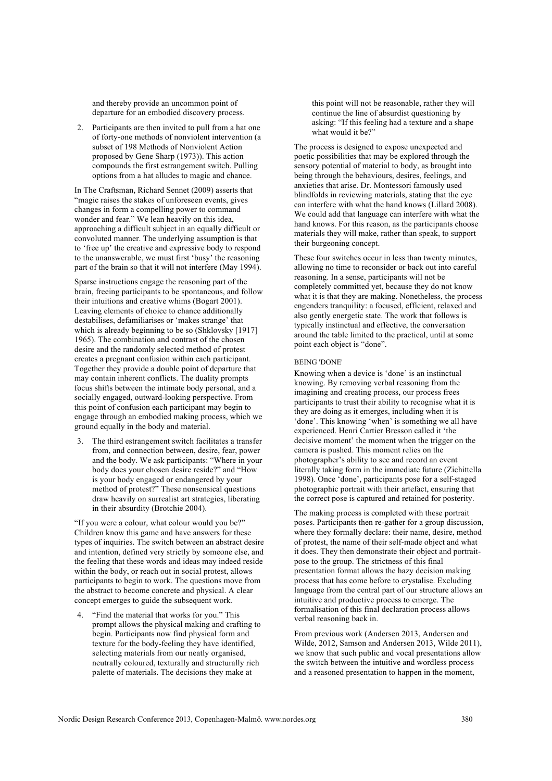and thereby provide an uncommon point of departure for an embodied discovery process.

2. Participants are then invited to pull from a hat one of forty-one methods of nonviolent intervention (a subset of 198 Methods of Nonviolent Action proposed by Gene Sharp (1973)). This action compounds the first estrangement switch. Pulling options from a hat alludes to magic and chance.

In The Craftsman, Richard Sennet (2009) asserts that "magic raises the stakes of unforeseen events, gives changes in form a compelling power to command wonder and fear." We lean heavily on this idea, approaching a difficult subject in an equally difficult or convoluted manner. The underlying assumption is that to 'free up' the creative and expressive body to respond to the unanswerable, we must first 'busy' the reasoning part of the brain so that it will not interfere (May 1994).

Sparse instructions engage the reasoning part of the brain, freeing participants to be spontaneous, and follow their intuitions and creative whims (Bogart 2001). Leaving elements of choice to chance additionally destabilises, defamiliarises or 'makes strange' that which is already beginning to be so (Shklovsky [1917] 1965). The combination and contrast of the chosen desire and the randomly selected method of protest creates a pregnant confusion within each participant. Together they provide a double point of departure that may contain inherent conflicts. The duality prompts focus shifts between the intimate body personal, and a socially engaged, outward-looking perspective. From this point of confusion each participant may begin to engage through an embodied making process, which we ground equally in the body and material.

3. The third estrangement switch facilitates a transfer from, and connection between, desire, fear, power and the body. We ask participants: "Where in your body does your chosen desire reside?" and "How is your body engaged or endangered by your method of protest?" These nonsensical questions draw heavily on surrealist art strategies, liberating in their absurdity (Brotchie 2004).

"If you were a colour, what colour would you be?" Children know this game and have answers for these types of inquiries. The switch between an abstract desire and intention, defined very strictly by someone else, and the feeling that these words and ideas may indeed reside within the body, or reach out in social protest, allows participants to begin to work. The questions move from the abstract to become concrete and physical. A clear concept emerges to guide the subsequent work.

4. "Find the material that works for you." This prompt allows the physical making and crafting to begin. Participants now find physical form and texture for the body-feeling they have identified, selecting materials from our neatly organised, neutrally coloured, texturally and structurally rich palette of materials. The decisions they make at

this point will not be reasonable, rather they will continue the line of absurdist questioning by asking: "If this feeling had a texture and a shape what would it be?"

The process is designed to expose unexpected and poetic possibilities that may be explored through the sensory potential of material to body, as brought into being through the behaviours, desires, feelings, and anxieties that arise. Dr. Montessori famously used blindfolds in reviewing materials, stating that the eye can interfere with what the hand knows (Lillard 2008). We could add that language can interfere with what the hand knows. For this reason, as the participants choose materials they will make, rather than speak, to support their burgeoning concept.

These four switches occur in less than twenty minutes, allowing no time to reconsider or back out into careful reasoning. In a sense, participants will not be completely committed yet, because they do not know what it is that they are making. Nonetheless, the process engenders tranquility: a focused, efficient, relaxed and also gently energetic state. The work that follows is typically instinctual and effective, the conversation around the table limited to the practical, until at some point each object is "done".

#### BEING 'DONE'

Knowing when a device is 'done' is an instinctual knowing. By removing verbal reasoning from the imagining and creating process, our process frees participants to trust their ability to recognise what it is they are doing as it emerges, including when it is 'done'. This knowing 'when' is something we all have experienced. Henri Cartier Bresson called it 'the decisive moment' the moment when the trigger on the camera is pushed. This moment relies on the photographer's ability to see and record an event literally taking form in the immediate future (Zichittella 1998). Once 'done', participants pose for a self-staged photographic portrait with their artefact, ensuring that the correct pose is captured and retained for posterity.

The making process is completed with these portrait poses. Participants then re-gather for a group discussion, where they formally declare: their name, desire, method of protest, the name of their self-made object and what it does. They then demonstrate their object and portraitpose to the group. The strictness of this final presentation format allows the hazy decision making process that has come before to crystalise. Excluding language from the central part of our structure allows an intuitive and productive process to emerge. The formalisation of this final declaration process allows verbal reasoning back in.

From previous work (Andersen 2013, Andersen and Wilde, 2012, Samson and Andersen 2013, Wilde 2011), we know that such public and vocal presentations allow the switch between the intuitive and wordless process and a reasoned presentation to happen in the moment,